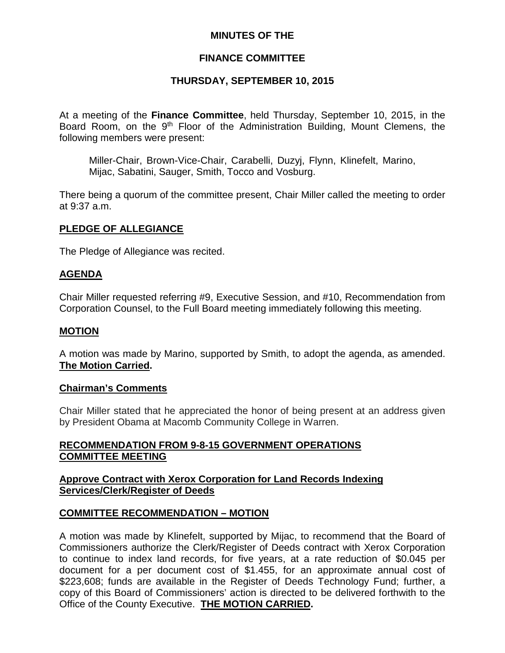# **MINUTES OF THE**

# **FINANCE COMMITTEE**

# **THURSDAY, SEPTEMBER 10, 2015**

At a meeting of the **Finance Committee**, held Thursday, September 10, 2015, in the Board Room, on the 9<sup>th</sup> Floor of the Administration Building, Mount Clemens, the following members were present:

Miller-Chair, Brown-Vice-Chair, Carabelli, Duzyj, Flynn, Klinefelt, Marino, Mijac, Sabatini, Sauger, Smith, Tocco and Vosburg.

There being a quorum of the committee present, Chair Miller called the meeting to order at 9:37 a.m.

### **PLEDGE OF ALLEGIANCE**

The Pledge of Allegiance was recited.

### **AGENDA**

Chair Miller requested referring #9, Executive Session, and #10, Recommendation from Corporation Counsel, to the Full Board meeting immediately following this meeting.

### **MOTION**

A motion was made by Marino, supported by Smith, to adopt the agenda, as amended. **The Motion Carried.**

### **Chairman's Comments**

Chair Miller stated that he appreciated the honor of being present at an address given by President Obama at Macomb Community College in Warren.

# **RECOMMENDATION FROM 9-8-15 GOVERNMENT OPERATIONS COMMITTEE MEETING**

### **Approve Contract with Xerox Corporation for Land Records Indexing Services/Clerk/Register of Deeds**

# **COMMITTEE RECOMMENDATION – MOTION**

A motion was made by Klinefelt, supported by Mijac, to recommend that the Board of Commissioners authorize the Clerk/Register of Deeds contract with Xerox Corporation to continue to index land records, for five years, at a rate reduction of \$0.045 per document for a per document cost of \$1.455, for an approximate annual cost of \$223,608; funds are available in the Register of Deeds Technology Fund; further, a copy of this Board of Commissioners' action is directed to be delivered forthwith to the Office of the County Executive. **THE MOTION CARRIED.**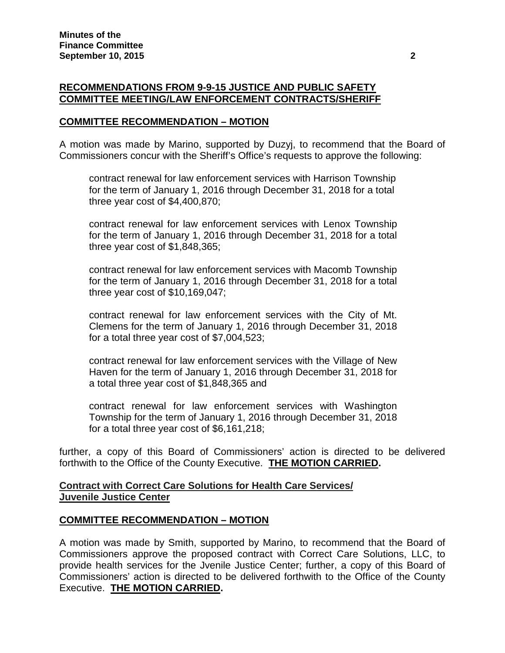### **RECOMMENDATIONS FROM 9-9-15 JUSTICE AND PUBLIC SAFETY COMMITTEE MEETING/LAW ENFORCEMENT CONTRACTS/SHERIFF**

### **COMMITTEE RECOMMENDATION – MOTION**

A motion was made by Marino, supported by Duzyj, to recommend that the Board of Commissioners concur with the Sheriff's Office's requests to approve the following:

contract renewal for law enforcement services with Harrison Township for the term of January 1, 2016 through December 31, 2018 for a total three year cost of \$4,400,870;

contract renewal for law enforcement services with Lenox Township for the term of January 1, 2016 through December 31, 2018 for a total three year cost of \$1,848,365;

contract renewal for law enforcement services with Macomb Township for the term of January 1, 2016 through December 31, 2018 for a total three year cost of \$10,169,047;

contract renewal for law enforcement services with the City of Mt. Clemens for the term of January 1, 2016 through December 31, 2018 for a total three year cost of \$7,004,523;

contract renewal for law enforcement services with the Village of New Haven for the term of January 1, 2016 through December 31, 2018 for a total three year cost of \$1,848,365 and

contract renewal for law enforcement services with Washington Township for the term of January 1, 2016 through December 31, 2018 for a total three year cost of \$6,161,218;

further, a copy of this Board of Commissioners' action is directed to be delivered forthwith to the Office of the County Executive. **THE MOTION CARRIED.**

### **Contract with Correct Care Solutions for Health Care Services/ Juvenile Justice Center**

### **COMMITTEE RECOMMENDATION – MOTION**

A motion was made by Smith, supported by Marino, to recommend that the Board of Commissioners approve the proposed contract with Correct Care Solutions, LLC, to provide health services for the Jvenile Justice Center; further, a copy of this Board of Commissioners' action is directed to be delivered forthwith to the Office of the County Executive. **THE MOTION CARRIED.**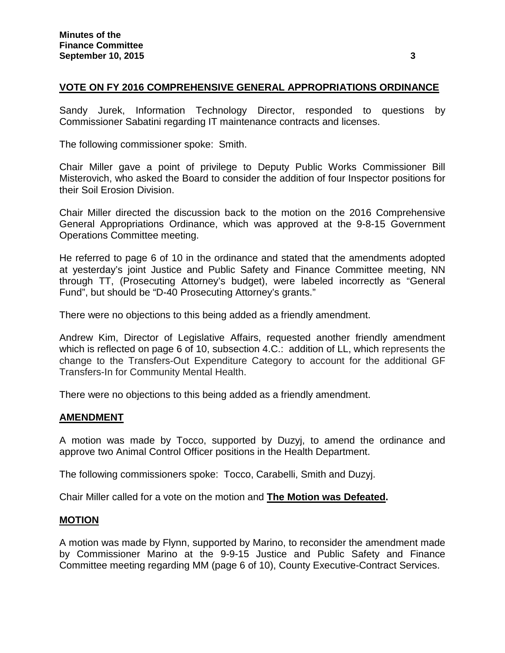# **VOTE ON FY 2016 COMPREHENSIVE GENERAL APPROPRIATIONS ORDINANCE**

Sandy Jurek, Information Technology Director, responded to questions by Commissioner Sabatini regarding IT maintenance contracts and licenses.

The following commissioner spoke: Smith.

Chair Miller gave a point of privilege to Deputy Public Works Commissioner Bill Misterovich, who asked the Board to consider the addition of four Inspector positions for their Soil Erosion Division.

Chair Miller directed the discussion back to the motion on the 2016 Comprehensive General Appropriations Ordinance, which was approved at the 9-8-15 Government Operations Committee meeting.

He referred to page 6 of 10 in the ordinance and stated that the amendments adopted at yesterday's joint Justice and Public Safety and Finance Committee meeting, NN through TT, (Prosecuting Attorney's budget), were labeled incorrectly as "General Fund", but should be "D-40 Prosecuting Attorney's grants."

There were no objections to this being added as a friendly amendment.

Andrew Kim, Director of Legislative Affairs, requested another friendly amendment which is reflected on page 6 of 10, subsection 4.C.: addition of LL, which represents the change to the Transfers-Out Expenditure Category to account for the additional GF Transfers-In for Community Mental Health.

There were no objections to this being added as a friendly amendment.

### **AMENDMENT**

A motion was made by Tocco, supported by Duzyj, to amend the ordinance and approve two Animal Control Officer positions in the Health Department.

The following commissioners spoke: Tocco, Carabelli, Smith and Duzyj.

Chair Miller called for a vote on the motion and **The Motion was Defeated.**

### **MOTION**

A motion was made by Flynn, supported by Marino, to reconsider the amendment made by Commissioner Marino at the 9-9-15 Justice and Public Safety and Finance Committee meeting regarding MM (page 6 of 10), County Executive-Contract Services.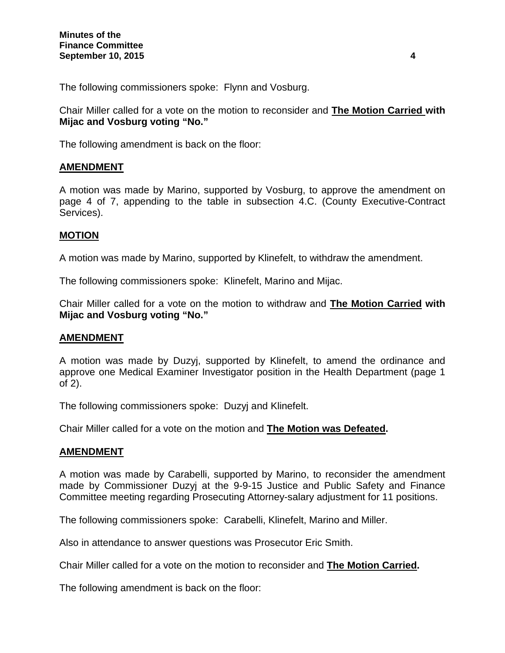The following commissioners spoke: Flynn and Vosburg.

Chair Miller called for a vote on the motion to reconsider and **The Motion Carried with Mijac and Vosburg voting "No."**

The following amendment is back on the floor:

# **AMENDMENT**

A motion was made by Marino, supported by Vosburg, to approve the amendment on page 4 of 7, appending to the table in subsection 4.C. (County Executive-Contract Services).

# **MOTION**

A motion was made by Marino, supported by Klinefelt, to withdraw the amendment.

The following commissioners spoke: Klinefelt, Marino and Mijac.

Chair Miller called for a vote on the motion to withdraw and **The Motion Carried with Mijac and Vosburg voting "No."**

### **AMENDMENT**

A motion was made by Duzyj, supported by Klinefelt, to amend the ordinance and approve one Medical Examiner Investigator position in the Health Department (page 1 of 2).

The following commissioners spoke: Duzyj and Klinefelt.

Chair Miller called for a vote on the motion and **The Motion was Defeated.**

### **AMENDMENT**

A motion was made by Carabelli, supported by Marino, to reconsider the amendment made by Commissioner Duzyj at the 9-9-15 Justice and Public Safety and Finance Committee meeting regarding Prosecuting Attorney-salary adjustment for 11 positions.

The following commissioners spoke: Carabelli, Klinefelt, Marino and Miller.

Also in attendance to answer questions was Prosecutor Eric Smith.

Chair Miller called for a vote on the motion to reconsider and **The Motion Carried.**

The following amendment is back on the floor: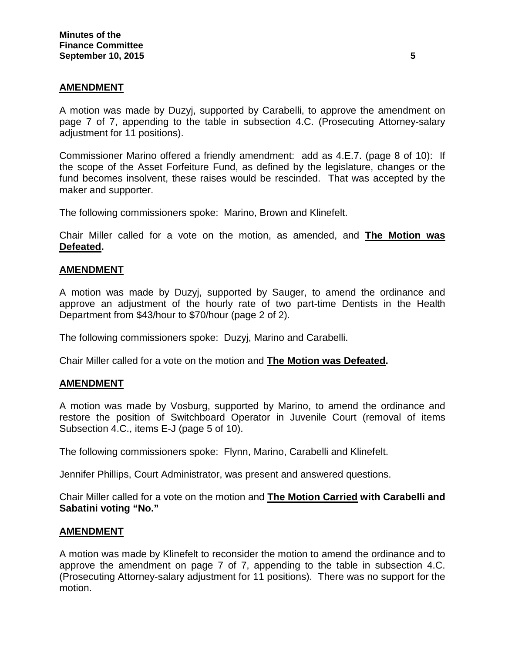### **AMENDMENT**

A motion was made by Duzyj, supported by Carabelli, to approve the amendment on page 7 of 7, appending to the table in subsection 4.C. (Prosecuting Attorney-salary adjustment for 11 positions).

Commissioner Marino offered a friendly amendment: add as 4.E.7. (page 8 of 10): If the scope of the Asset Forfeiture Fund, as defined by the legislature, changes or the fund becomes insolvent, these raises would be rescinded. That was accepted by the maker and supporter.

The following commissioners spoke: Marino, Brown and Klinefelt.

Chair Miller called for a vote on the motion, as amended, and **The Motion was Defeated.**

### **AMENDMENT**

A motion was made by Duzyj, supported by Sauger, to amend the ordinance and approve an adjustment of the hourly rate of two part-time Dentists in the Health Department from \$43/hour to \$70/hour (page 2 of 2).

The following commissioners spoke: Duzyj, Marino and Carabelli.

Chair Miller called for a vote on the motion and **The Motion was Defeated.**

### **AMENDMENT**

A motion was made by Vosburg, supported by Marino, to amend the ordinance and restore the position of Switchboard Operator in Juvenile Court (removal of items Subsection 4.C., items E-J (page 5 of 10).

The following commissioners spoke: Flynn, Marino, Carabelli and Klinefelt.

Jennifer Phillips, Court Administrator, was present and answered questions.

Chair Miller called for a vote on the motion and **The Motion Carried with Carabelli and Sabatini voting "No."**

#### **AMENDMENT**

A motion was made by Klinefelt to reconsider the motion to amend the ordinance and to approve the amendment on page 7 of 7, appending to the table in subsection 4.C. (Prosecuting Attorney-salary adjustment for 11 positions). There was no support for the motion.